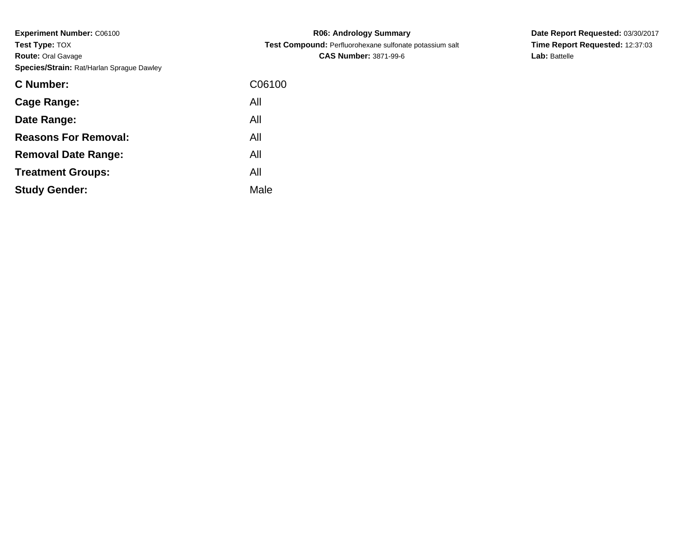**Experiment Number:** C06100**Test Type:** TOX **Route:** Oral Gavage**Species/Strain:** Rat/Harlan Sprague Dawley

| C06100 |
|--------|
| All    |
| All    |
| All    |
| All    |
| All    |
| Male   |
|        |

**R06: Andrology Summary Test Compound:** Perfluorohexane sulfonate potassium salt**CAS Number:** 3871-99-6

**Date Report Requested:** 03/30/2017**Time Report Requested:** 12:37:03**Lab:** Battelle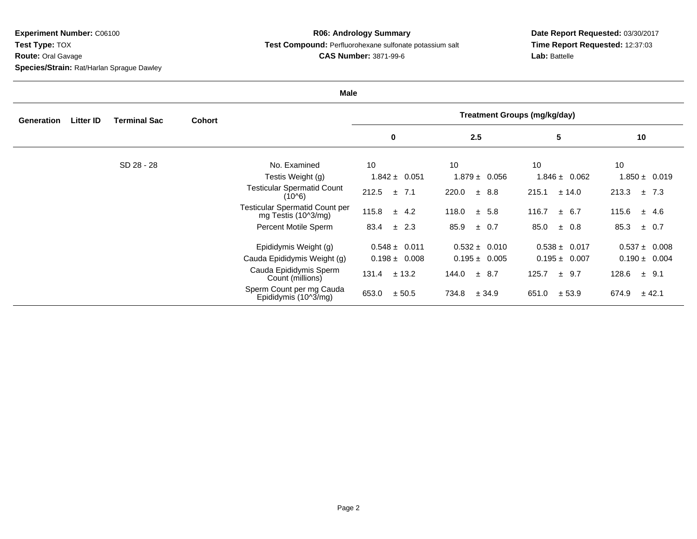**Experiment Number:** C06100**Test Type:** TOX

**Route:** Oral Gavage

**Species/Strain:** Rat/Harlan Sprague Dawley

## **R06: Andrology Summary Test Compound:** Perfluorohexane sulfonate potassium salt**CAS Number:** 3871-99-6

## **Date Report Requested:** 03/30/2017**Time Report Requested:** 12:37:03**Lab:** Battelle

| <b>Male</b> |                  |                     |               |                                                              |                                     |                   |                   |                    |  |
|-------------|------------------|---------------------|---------------|--------------------------------------------------------------|-------------------------------------|-------------------|-------------------|--------------------|--|
| Generation  | <b>Litter ID</b> | <b>Terminal Sac</b> | <b>Cohort</b> |                                                              | <b>Treatment Groups (mg/kg/day)</b> |                   |                   |                    |  |
|             |                  |                     |               |                                                              | $\bf{0}$                            | 2.5               | 5                 | 10                 |  |
|             |                  | SD 28 - 28          |               | No. Examined                                                 | 10                                  | 10                | 10                | 10                 |  |
|             |                  |                     |               | Testis Weight (g)                                            | $1.842 \pm 0.051$                   | $1.879 \pm 0.056$ | $1.846 \pm 0.062$ | $1.850 \pm 0.019$  |  |
|             |                  |                     |               | <b>Testicular Spermatid Count</b><br>$(10^{6})$              | 212.5<br>$\pm$ 7.1                  | 220.0<br>± 8.8    | 215.1<br>± 14.0   | 213.3<br>$\pm$ 7.3 |  |
|             |                  |                     |               | <b>Testicular Spermatid Count per</b><br>mg Testis (10^3/mg) | 115.8<br>$\pm$ 4.2                  | 118.0<br>± 5.8    | 116.7<br>± 6.7    | 115.6<br>± 4.6     |  |
|             |                  |                     |               | Percent Motile Sperm                                         | $\pm$ 2.3<br>83.4                   | 85.9<br>$\pm$ 0.7 | 85.0<br>± 0.8     | 85.3<br>$\pm$ 0.7  |  |
|             |                  |                     |               | Epididymis Weight (g)                                        | $0.548 \pm 0.011$                   | $0.532 \pm 0.010$ | $0.538 \pm 0.017$ | $0.537 \pm 0.008$  |  |
|             |                  |                     |               | Cauda Epididymis Weight (g)                                  | $0.198 \pm 0.008$                   | $0.195 \pm 0.005$ | $0.195 \pm 0.007$ | $0.190 \pm 0.004$  |  |
|             |                  |                     |               | Cauda Epididymis Sperm<br>Count (millions)                   | 131.4<br>± 13.2                     | 144.0<br>± 8.7    | 125.7<br>± 9.7    | 128.6<br>$\pm$ 9.1 |  |
|             |                  |                     |               | Sperm Count per mg Cauda<br>Epididymis (10^3/mg)             | 653.0<br>± 50.5                     | 734.8<br>± 34.9   | 651.0<br>± 53.9   | 674.9<br>± 42.1    |  |